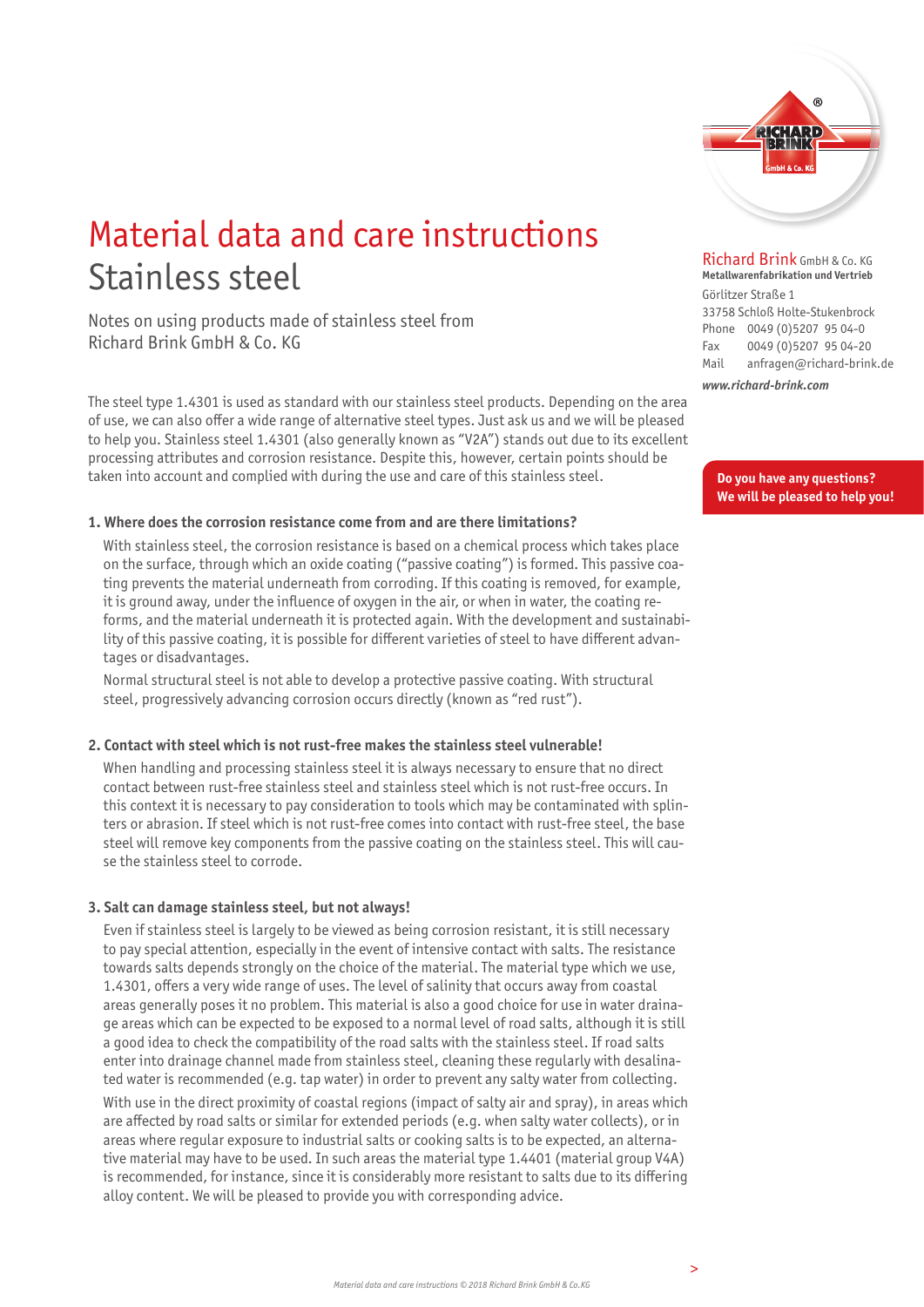

## Material data and care instructions Stainless steel

Notes on using products made of stainless steel from Richard Brink GmbH & Co. KG

The steel type 1.4301 is used as standard with our stainless steel products. Depending on the area of use, we can also offer a wide range of alternative steel types. Just ask us and we will be pleased to help you. Stainless steel 1.4301 (also generally known as "V2A") stands out due to its excellent processing attributes and corrosion resistance. Despite this, however, certain points should be taken into account and complied with during the use and care of this stainless steel.

#### **1. Where does the corrosion resistance come from and are there limitations?**

 With stainless steel, the corrosion resistance is based on a chemical process which takes place on the surface, through which an oxide coating ("passive coating") is formed. This passive coating prevents the material underneath from corroding. If this coating is removed, for example, it is ground away, under the influence of oxygen in the air, or when in water, the coating reforms, and the material underneath it is protected again. With the development and sustainability of this passive coating, it is possible for different varieties of steel to have different advantages or disadvantages.

 Normal structural steel is not able to develop a protective passive coating. With structural steel, progressively advancing corrosion occurs directly (known as "red rust").

#### **2. Contact with steel which is not rust-free makes the stainless steel vulnerable!**

 When handling and processing stainless steel it is always necessary to ensure that no direct contact between rust-free stainless steel and stainless steel which is not rust-free occurs. In this context it is necessary to pay consideration to tools which may be contaminated with splinters or abrasion. If steel which is not rust-free comes into contact with rust-free steel, the base steel will remove key components from the passive coating on the stainless steel. This will cause the stainless steel to corrode.

### **3. Salt can damage stainless steel, but not always!**

 Even if stainless steel is largely to be viewed as being corrosion resistant, it is still necessary to pay special attention, especially in the event of intensive contact with salts. The resistance towards salts depends strongly on the choice of the material. The material type which we use, 1.4301, offers a very wide range of uses. The level of salinity that occurs away from coastal areas generally poses it no problem. This material is also a good choice for use in water drainage areas which can be expected to be exposed to a normal level of road salts, although it is still a good idea to check the compatibility of the road salts with the stainless steel. If road salts enter into drainage channel made from stainless steel, cleaning these regularly with desalinated water is recommended (e.g. tap water) in order to prevent any salty water from collecting.

 With use in the direct proximity of coastal regions (impact of salty air and spray), in areas which are affected by road salts or similar for extended periods (e.g. when salty water collects), or in areas where regular exposure to industrial salts or cooking salts is to be expected, an alternative material may have to be used. In such areas the material type 1.4401 (material group V4A) is recommended, for instance, since it is considerably more resistant to salts due to its differing alloy content. We will be pleased to provide you with corresponding advice.

Richard Brink GmbH & Co. KG **Metallwarenfabrikation und Vertrieb** 

Görlitzer Straße 1 33758 Schloß Holte-Stukenbrock Phone 0049 (0)5207 95 04-0 Fax 0049 (0)5207 95 04-20 Mail anfragen@richard-brink.de

*www.richard-brink.com*

**Do you have any questions? We will be pleased to help you!**